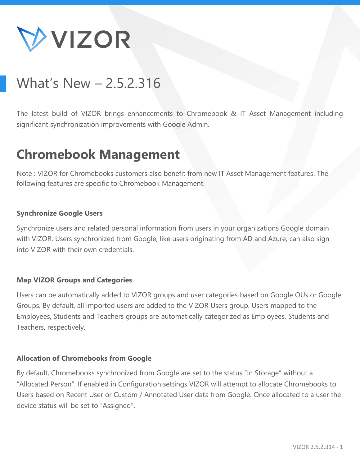

# What's New – 2.5.2.316

The latest build of VIZOR brings enhancements to Chromebook & IT Asset Management including significant synchronization improvements with Google Admin.

## **Chromebook Management**

Note : VIZOR for Chromebooks customers also benefit from new IT Asset Management features. The following features are specific to Chromebook Management.

## **Synchronize Google Users**

Synchronize users and related personal information from users in your organizations Google domain with VIZOR. Users synchronized from Google, like users originating from AD and Azure, can also sign into VIZOR with their own credentials.

### **Map VIZOR Groups and Categories**

Users can be automatically added to VIZOR groups and user categories based on Google OUs or Google Groups. By default, all imported users are added to the VIZOR Users group. Users mapped to the Employees, Students and Teachers groups are automatically categorized as Employees, Students and Teachers, respectively.

### **Allocation of Chromebooks from Google**

By default, Chromebooks synchronized from Google are set to the status "In Storage" without a "Allocated Person". If enabled in Configuration settings VIZOR will attempt to allocate Chromebooks to Users based on Recent User or Custom / Annotated User data from Google. Once allocated to a user the device status will be set to "Assigned".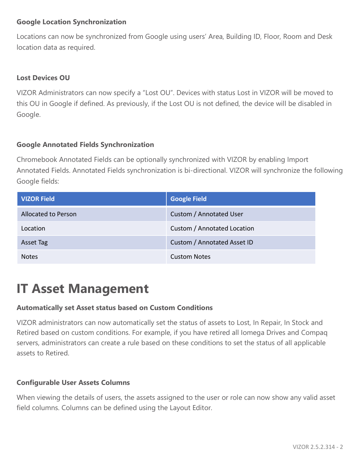## **Google Location Synchronization**

Locations can now be synchronized from Google using users' Area, Building ID, Floor, Room and Desk location data as required.

## **Lost Devices OU**

VIZOR Administrators can now specify a "Lost OU". Devices with status Lost in VIZOR will be moved to this OU in Google if defined. As previously, if the Lost OU is not defined, the device will be disabled in Google.

## **Google Annotated Fields Synchronization**

Chromebook Annotated Fields can be optionally synchronized with VIZOR by enabling Import Annotated Fields. Annotated Fields synchronization is bi-directional. VIZOR will synchronize the following Google fields:

| <b>VIZOR Field</b>         | <b>Google Field</b>         |
|----------------------------|-----------------------------|
| <b>Allocated to Person</b> | Custom / Annotated User     |
| Location                   | Custom / Annotated Location |
| <b>Asset Tag</b>           | Custom / Annotated Asset ID |
| <b>Notes</b>               | <b>Custom Notes</b>         |

## **IT Asset Management**

## **Automatically set Asset status based on Custom Conditions**

VIZOR administrators can now automatically set the status of assets to Lost, In Repair, In Stock and Retired based on custom conditions. For example, if you have retired all Iomega Drives and Compaq servers, administrators can create a rule based on these conditions to set the status of all applicable assets to Retired.

### **Configurable User Assets Columns**

When viewing the details of users, the assets assigned to the user or role can now show any valid asset field columns. Columns can be defined using the Layout Editor.